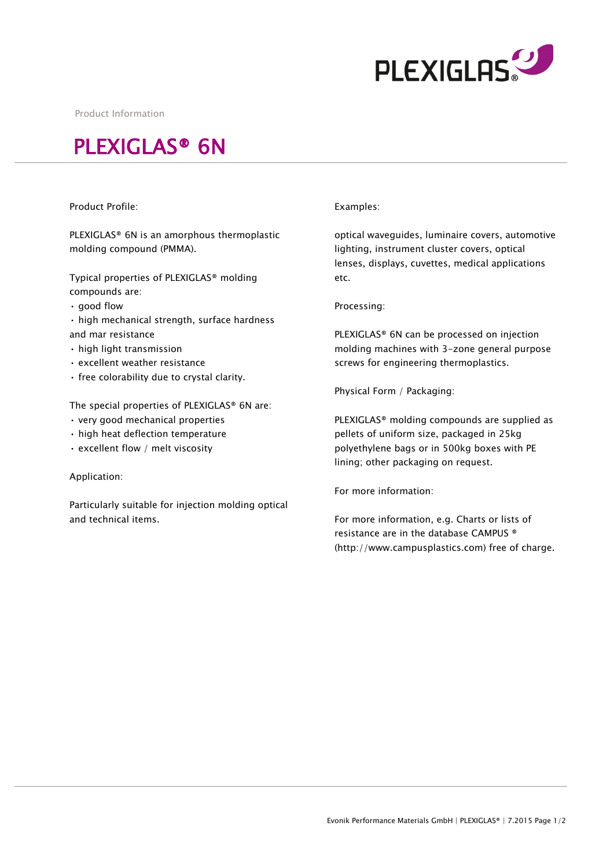

Product Information

# PLEXIGLAS® 6N

# Product Profile:

PLEXIGLAS® 6N is an amorphous thermoplastic molding compound (PMMA).

Typical properties of PLEXIGLAS® molding compounds are:

- good flow
- high mechanical strength, surface hardness and mar resistance
- high light transmission
- excellent weather resistance
- free colorability due to crystal clarity.

The special properties of PLEXIGLAS® 6N are:

- very good mechanical properties
- high heat deflection temperature
- excellent flow / melt viscosity

### Application:

Particularly suitable for injection molding optical and technical items.

### Examples:

optical waveguides, luminaire covers, automotive lighting, instrument cluster covers, optical lenses, displays, cuvettes, medical applications etc.

Processing:

PLEXIGLAS® 6N can be processed on injection molding machines with 3-zone general purpose screws for engineering thermoplastics.

Physical Form / Packaging:

PLEXIGLAS® molding compounds are supplied as pellets of uniform size, packaged in 25kg polyethylene bags or in 500kg boxes with PE lining; other packaging on request.

For more information:

For more information, e.g. Charts or lists of resistance are in the database CAMPUS ® (http://www.campusplastics.com) free of charge.